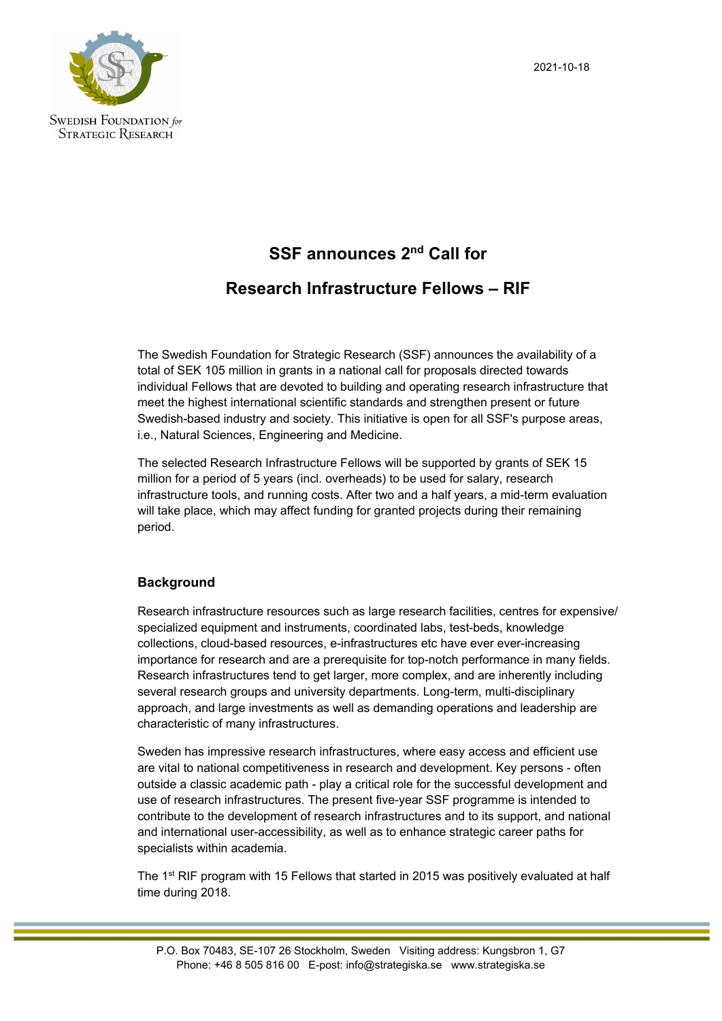2021-10-18



**SWEDISH FOUNDATION** for **STRATEGIC RESEARCH** 

# **SSF announces 2nd Call for**

## **Research lnfrastructure Fellows – RIF**

The Swedish Foundation for Strategic Research (SSF) announces the availability of a total of SEK 105 million in grants in a national call for proposals directed towards individual Fellows that are devoted to building and operating research infrastructure that meet the highest international scientific standards and strengthen present or future Swedish-based industry and society. This initiative is open for all SSF's purpose areas, i.e., Natural Sciences, Engineering and Medicine.

The selected Research Infrastructure Fellows will be supported by grants of SEK 15 million for a period of 5 years (incl. overheads) to be used for salary, research infrastructure tools, and running costs. After two and a half years, a mid-term evaluation will take place, which may affect funding for granted projects during their remaining period.

## **Background**

Research infrastructure resources such as large research facilities, centres for expensive/ specialized equipment and instruments, coordinated labs, test-beds, knowledge collections, cloud-based resources, e-infrastructures etc have ever ever-increasing importance for research and are a prerequisite for top-notch performance in many fields. Research infrastructures tend to get larger, more complex, and are inherently including several research groups and university departments. Long-term, multi-disciplinary approach, and large investments as well as demanding operations and leadership are characteristic of many infrastructures.

Sweden has impressive research infrastructures, where easy access and efficient use are vital to national competitiveness in research and development. Key persons - often outside a classic academic path - play a critical role for the successful development and use of research infrastructures. The present five-year SSF programme is intended to contribute to the development of research infrastructures and to its support, and national and international user-accessibility, as well as to enhance strategic career paths for specialists within academia.

The 1<sup>st</sup> RIF program with 15 Fellows that started in 2015 was positively evaluated at half time during 2018.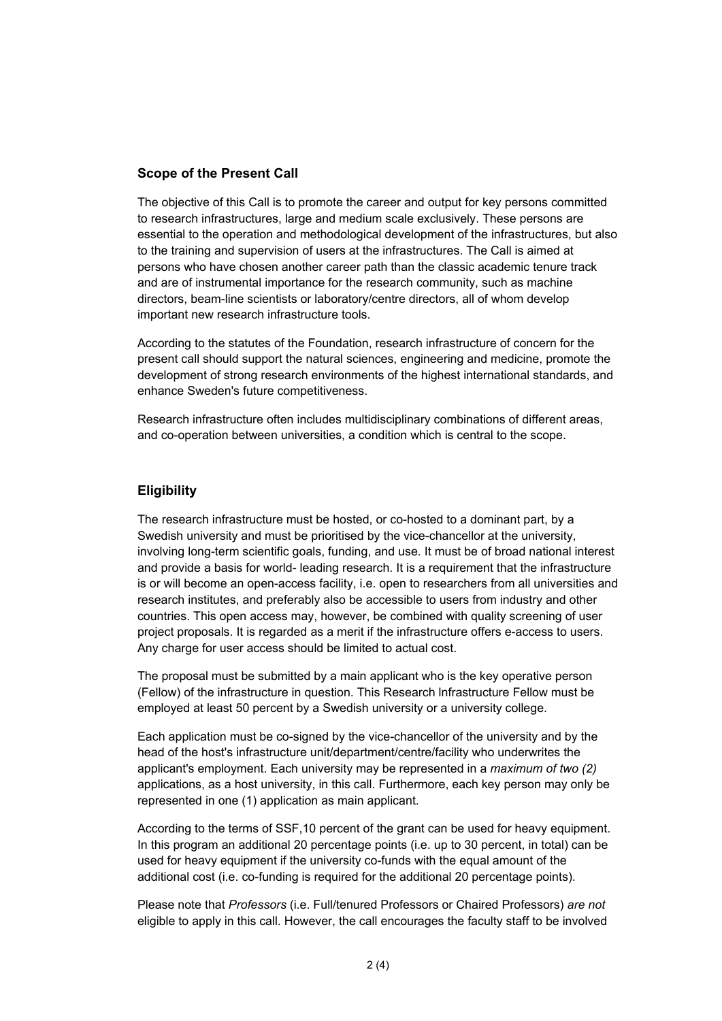## **Scope of the Present Call**

The objective of this Call is to promote the career and output for key persons committed to research infrastructures, large and medium scale exclusively. These persons are essential to the operation and methodological development of the infrastructures, but also to the training and supervision of users at the infrastructures. The Call is aimed at persons who have chosen another career path than the classic academic tenure track and are of instrumental importance for the research community, such as machine directors, beam-line scientists or laboratory/centre directors, all of whom develop important new research infrastructure tools.

According to the statutes of the Foundation, research infrastructure of concern for the present call should support the natural sciences, engineering and medicine, promote the development of strong research environments of the highest international standards, and enhance Sweden's future competitiveness.

Research infrastructure often includes multidisciplinary combinations of different areas, and co-operation between universities, a condition which is central to the scope.

#### **Eligibility**

The research infrastructure must be hosted, or co-hosted to a dominant part, by a Swedish university and must be prioritised by the vice-chancellor at the university, involving long-term scientific goals, funding, and use. It must be of broad national interest and provide a basis for world- leading research. It is a requirement that the infrastructure is or will become an open-access facility, i.e. open to researchers from all universities and research institutes, and preferably also be accessible to users from industry and other countries. This open access may, however, be combined with quality screening of user project proposals. It is regarded as a merit if the infrastructure offers e-access to users. Any charge for user access should be limited to actual cost.

The proposal must be submitted by a main applicant who is the key operative person (Fellow) of the infrastructure in question. This Research lnfrastructure Fellow must be employed at least 50 percent by a Swedish university or a university college.

Each application must be co-signed by the vice-chancellor of the university and by the head of the host's infrastructure unit/department/centre/facility who underwrites the applicant's employment. Each university may be represented in a *maximum of two (2)* applications, as a host university, in this call. Furthermore, each key person may only be represented in one (1) application as main applicant.

According to the terms of SSF,10 percent of the grant can be used for heavy equipment. In this program an additional 20 percentage points (i.e. up to 30 percent, in total) can be used for heavy equipment if the university co-funds with the equal amount of the additional cost (i.e. co-funding is required for the additional 20 percentage points).

Please note that *Professors* (i.e. Full/tenured Professors or Chaired Professors) *are not* eligible to apply in this call. However, the call encourages the faculty staff to be involved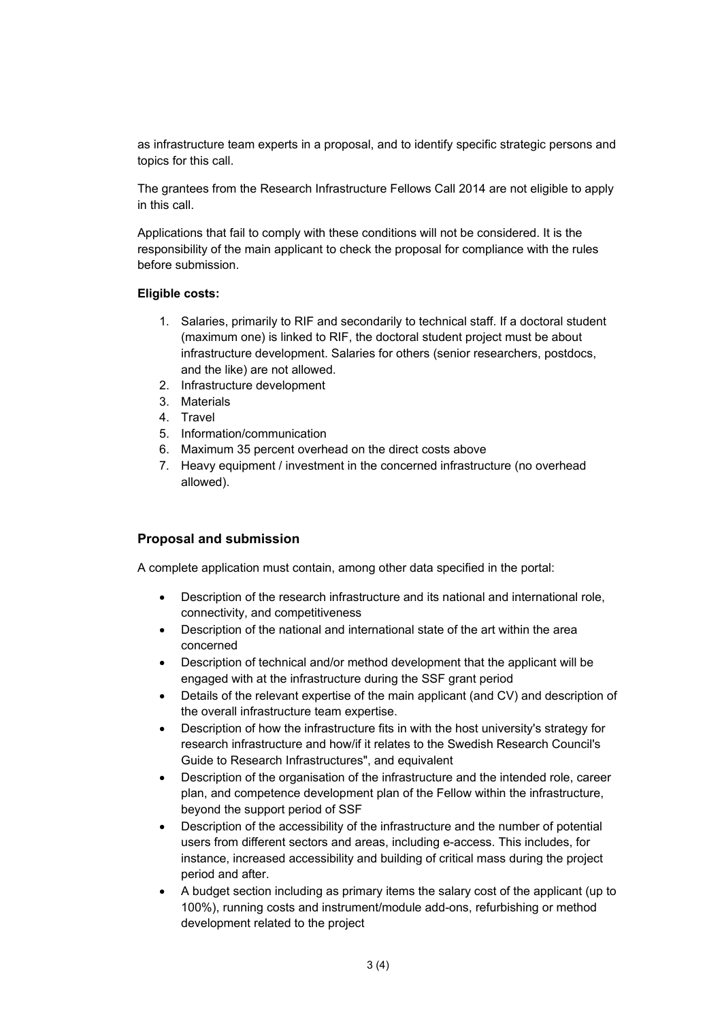as infrastructure team experts in a proposal, and to identify specific strategic persons and topics for this call.

The grantees from the Research Infrastructure Fellows Call 2014 are not eligible to apply in this call.

Applications that fail to comply with these conditions will not be considered. It is the responsibility of the main applicant to check the proposal for compliance with the rules before submission.

#### **Eligible costs:**

- 1. Salaries, primarily to RIF and secondarily to technical staff. If a doctoral student (maximum one) is linked to RIF, the doctoral student project must be about infrastructure development. Salaries for others (senior researchers, postdocs, and the like) are not allowed.
- 2. Infrastructure development
- 3. Materials
- 4. Travel
- 5. Information/communication
- 6. Maximum 35 percent overhead on the direct costs above
- 7. Heavy equipment / investment in the concerned infrastructure (no overhead allowed).

## **Proposal and submission**

A complete application must contain, among other data specified in the portal:

- Description of the research infrastructure and its national and international role, connectivity, and competitiveness
- Description of the national and international state of the art within the area concerned
- Description of technical and/or method development that the applicant will be engaged with at the infrastructure during the SSF grant period
- Details of the relevant expertise of the main applicant (and CV) and description of the overall infrastructure team expertise.
- Description of how the infrastructure fits in with the host university's strategy for research infrastructure and how/if it relates to the Swedish Research Council's Guide to Research Infrastructures", and equivalent
- Description of the organisation of the infrastructure and the intended role, career plan, and competence development plan of the Fellow within the infrastructure, beyond the support period of SSF
- Description of the accessibility of the infrastructure and the number of potential users from different sectors and areas, including e-access. This includes, for instance, increased accessibility and building of critical mass during the project period and after.
- A budget section including as primary items the salary cost of the applicant (up to 100%), running costs and instrument/module add-ons, refurbishing or method development related to the project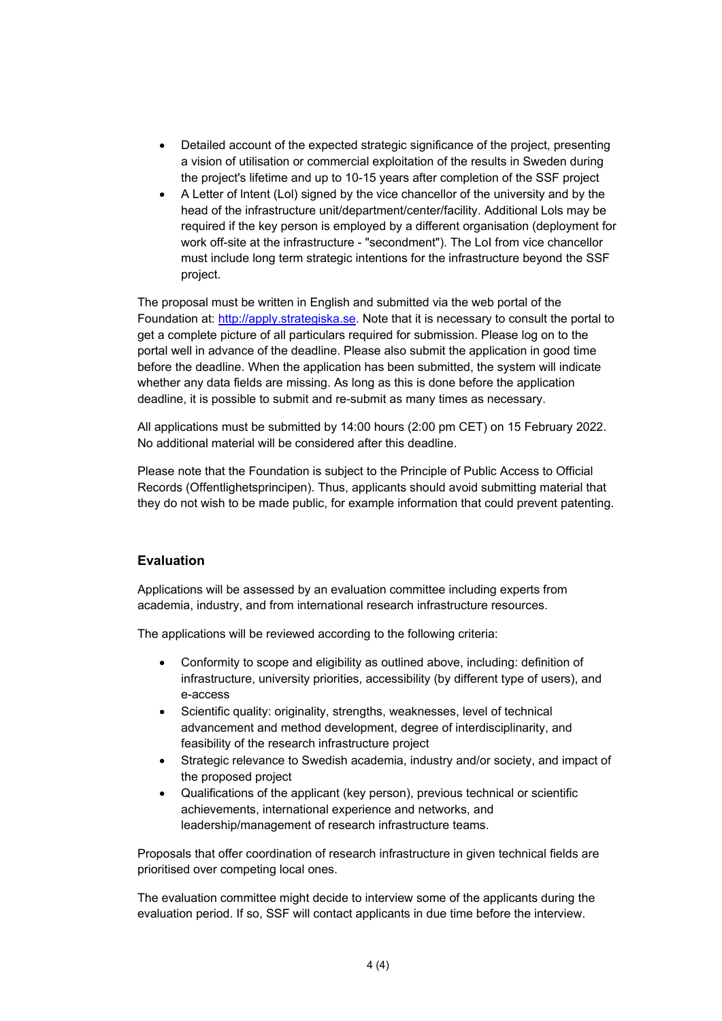- Detailed account of the expected strategic significance of the project, presenting a vision of utilisation or commercial exploitation of the results in Sweden during the project's lifetime and up to 10-15 years after completion of the SSF project
- A Letter of lntent (Lol) signed by the vice chancellor of the university and by the head of the infrastructure unit/department/center/facility. Additional Lols may be required if the key person is employed by a different organisation (deployment for work off-site at the infrastructure - "secondment"). The LoI from vice chancellor must include long term strategic intentions for the infrastructure beyond the SSF project.

The proposal must be written in English and submitted via the web portal of the Foundation at: http://apply.strategiska.se. Note that it is necessary to consult the portal to get a complete picture of all particulars required for submission. Please log on to the portal well in advance of the deadline. Please also submit the application in good time before the deadline. When the application has been submitted, the system will indicate whether any data fields are missing. As long as this is done before the application deadline, it is possible to submit and re-submit as many times as necessary.

All applications must be submitted by 14:00 hours (2:00 pm CET) on 15 February 2022. No additional material will be considered after this deadline.

Please note that the Foundation is subject to the Principle of Public Access to Official Records (Offentlighetsprincipen). Thus, applicants should avoid submitting material that they do not wish to be made public, for example information that could prevent patenting.

## **Evaluation**

Applications will be assessed by an evaluation committee including experts from academia, industry, and from international research infrastructure resources.

The applications will be reviewed according to the following criteria:

- Conformity to scope and eligibility as outlined above, including: definition of infrastructure, university priorities, accessibility (by different type of users), and e-access
- Scientific quality: originality, strengths, weaknesses, level of technical advancement and method development, degree of interdisciplinarity, and feasibility of the research infrastructure project
- Strategic relevance to Swedish academia, industry and/or society, and impact of the proposed project
- Qualifications of the applicant (key person), previous technical or scientific achievements, international experience and networks, and leadership/management of research infrastructure teams.

Proposals that offer coordination of research infrastructure in given technical fields are prioritised over competing local ones.

The evaluation committee might decide to interview some of the applicants during the evaluation period. If so, SSF will contact applicants in due time before the interview.